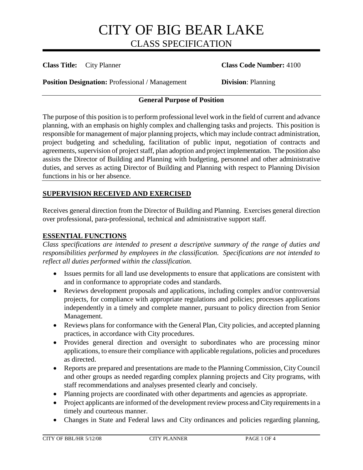**Class Title:** City Planner **Class Code Number:** 4100

**Position Designation:** Professional / Management **Division**: Planning

### **General Purpose of Position**

The purpose of this position is to perform professional level work in the field of current and advance planning, with an emphasis on highly complex and challenging tasks and projects. This position is responsible for management of major planning projects, which may include contract administration, project budgeting and scheduling, facilitation of public input, negotiation of contracts and agreements, supervision of project staff, plan adoption and project implementation. The position also assists the Director of Building and Planning with budgeting, personnel and other administrative duties, and serves as acting Director of Building and Planning with respect to Planning Division functions in his or her absence.

## **SUPERVISION RECEIVED AND EXERCISED**

Receives general direction from the Director of Building and Planning. Exercises general direction over professional, para-professional, technical and administrative support staff.

## **ESSENTIAL FUNCTIONS**

*Class specifications are intended to present a descriptive summary of the range of duties and responsibilities performed by employees in the classification. Specifications are not intended to reflect all duties performed within the classification.*

- Issues permits for all land use developments to ensure that applications are consistent with and in conformance to appropriate codes and standards.
- Reviews development proposals and applications, including complex and/or controversial projects, for compliance with appropriate regulations and policies; processes applications independently in a timely and complete manner, pursuant to policy direction from Senior Management.
- Reviews plans for conformance with the General Plan, City policies, and accepted planning practices, in accordance with City procedures.
- Provides general direction and oversight to subordinates who are processing minor applications, to ensure their compliance with applicable regulations, policies and procedures as directed.
- Reports are prepared and presentations are made to the Planning Commission, City Council and other groups as needed regarding complex planning projects and City programs, with staff recommendations and analyses presented clearly and concisely.
- Planning projects are coordinated with other departments and agencies as appropriate.
- Project applicants are informed of the development review process and City requirements in a timely and courteous manner.
- Changes in State and Federal laws and City ordinances and policies regarding planning,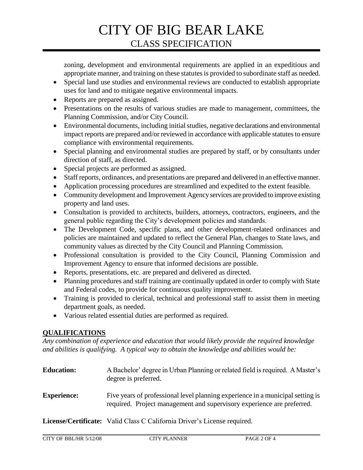zoning, development and environmental requirements are applied in an expeditious and appropriate manner, and training on these statutes is provided to subordinate staff as needed.

- Special land use studies and environmental reviews are conducted to establish appropriate uses for land and to mitigate negative environmental impacts.
- Reports are prepared as assigned.
- Presentations on the results of various studies are made to management, committees, the Planning Commission, and/or City Council.
- Environmental documents, including initial studies, negative declarations and environmental impact reports are prepared and/or reviewed in accordance with applicable statutes to ensure compliance with environmental requirements.
- Special planning and environmental studies are prepared by staff, or by consultants under direction of staff, as directed.
- Special projects are performed as assigned.
- Staff reports, ordinances, and presentations are prepared and delivered in an effective manner.
- Application processing procedures are streamlined and expedited to the extent feasible.
- Community development and Improvement Agency services are provided to improve existing property and land uses.
- Consultation is provided to architects, builders, attorneys, contractors, engineers, and the general public regarding the City's development policies and standards.
- The Development Code, specific plans, and other development-related ordinances and policies are maintained and updated to reflect the General Plan, changes to State laws, and community values as directed by the City Council and Planning Commission.
- Professional consultation is provided to the City Council, Planning Commission and Improvement Agency to ensure that informed decisions are possible.
- Reports, presentations, etc. are prepared and delivered as directed.
- Planning procedures and staff training are continually updated in order to comply with State and Federal codes, to provide for continuous quality improvement.
- Training is provided to clerical, technical and professional staff to assist them in meeting department goals, as needed.
- Various related essential duties are performed as required.

## **QUALIFICATIONS**

*Any combination of experience and education that would likely provide the required knowledge and abilities is qualifying. A typical way to obtain the knowledge and abilities would be:*

| <b>Education:</b>  | A Bachelor' degree in Urban Planning or related field is required. A Master's<br>degree is preferred.                                                    |
|--------------------|----------------------------------------------------------------------------------------------------------------------------------------------------------|
| <b>Experience:</b> | Five years of professional level planning experience in a municipal setting is<br>required. Project management and supervisory experience are preferred. |
|                    | License/Certificate: Valid Class C California Driver's License required.                                                                                 |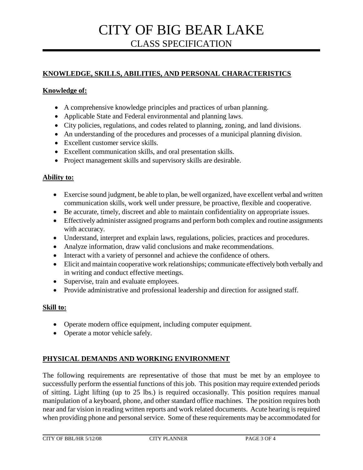# **KNOWLEDGE, SKILLS, ABILITIES, AND PERSONAL CHARACTERISTICS**

### **Knowledge of:**

- A comprehensive knowledge principles and practices of urban planning.
- Applicable State and Federal environmental and planning laws.
- City policies, regulations, and codes related to planning, zoning, and land divisions.
- An understanding of the procedures and processes of a municipal planning division.
- Excellent customer service skills.
- Excellent communication skills, and oral presentation skills.
- Project management skills and supervisory skills are desirable.

#### **Ability to:**

- Exercise sound judgment, be able to plan, be well organized, have excellent verbal and written communication skills, work well under pressure, be proactive, flexible and cooperative.
- Be accurate, timely, discreet and able to maintain confidentiality on appropriate issues.
- Effectively administer assigned programs and perform both complex and routine assignments with accuracy.
- Understand, interpret and explain laws, regulations, policies, practices and procedures.
- Analyze information, draw valid conclusions and make recommendations.
- Interact with a variety of personnel and achieve the confidence of others.
- Elicit and maintain cooperative work relationships; communicate effectively both verbally and in writing and conduct effective meetings.
- Supervise, train and evaluate employees.
- Provide administrative and professional leadership and direction for assigned staff.

#### **Skill to:**

- Operate modern office equipment, including computer equipment.
- Operate a motor vehicle safely.

## **PHYSICAL DEMANDS AND WORKING ENVIRONMENT**

The following requirements are representative of those that must be met by an employee to successfully perform the essential functions of this job. This position may require extended periods of sitting. Light lifting (up to 25 lbs.) is required occasionally. This position requires manual manipulation of a keyboard, phone, and other standard office machines. The position requires both near and far vision in reading written reports and work related documents. Acute hearing is required when providing phone and personal service. Some of these requirements may be accommodated for